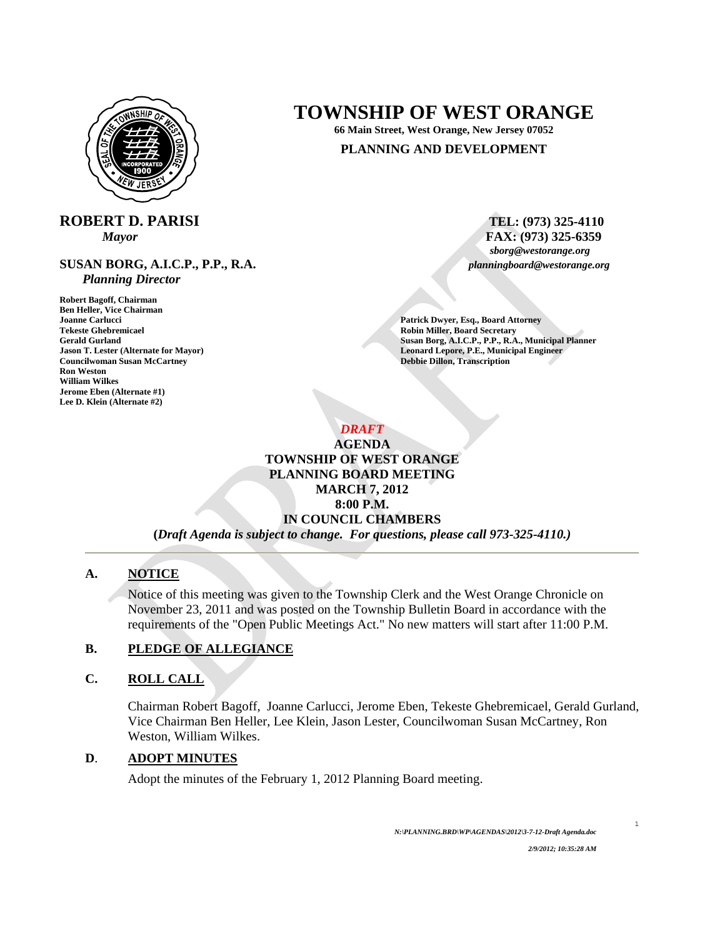

# **ROBERT D. PARISI** TEL: (973) 325-4110

**SUSAN BORG, A.I.C.P., P.P., R.A.** *planningboard@westorange.org Planning Director* 

**Robert Bagoff, Chairman Ben Heller, Vice Chairman Joanne Carlucci Patrick Dwyer, Esq., Board Attorney Tekeste Ghebremicael Robin Miller, Board Secretary** *Susan Borg, A.I.C.P., P.P., R.A**Susan Borg, A.I.C.P., P.P., R.A* **Councilwoman Susan McCartney Ron Weston William Wilkes Jerome Eben (Alternate #1) Lee D. Klein (Alternate #2)** 

# **TOWNSHIP OF WEST ORANGE**

**66 Main Street, West Orange, New Jersey 07052** 

#### **PLANNING AND DEVELOPMENT**

*Mayor* **FAX:** (973) 325-6359 *sborg@westorange.org FAX:* (973) 325-6359

Gerald Gurland **Gurland Susan Borg, A.I.C.P., P.P., R.A., Municipal Planner**<br> **Gurland Susan Borg, A.I.C.P., P.P., R.A., Municipal Planner**<br> **Leonard Lepore, P.E., Municipal Engineer Leonard Lepore, P.E., Municipal Engineer<br>Debbie Dillon, Transcription** 

> *DRAFT*  **AGENDA TOWNSHIP OF WEST ORANGE PLANNING BOARD MEETING MARCH 7, 2012 8:00 P.M. IN COUNCIL CHAMBERS**

**(***Draft Agenda is subject to change. For questions, please call 973-325-4110.)*

#### **A. NOTICE**

Notice of this meeting was given to the Township Clerk and the West Orange Chronicle on November 23, 2011 and was posted on the Township Bulletin Board in accordance with the requirements of the "Open Public Meetings Act." No new matters will start after 11:00 P.M.

# **B. PLEDGE OF ALLEGIANCE**

#### **C. ROLL CALL**

Chairman Robert Bagoff, Joanne Carlucci, Jerome Eben, Tekeste Ghebremicael, Gerald Gurland, Vice Chairman Ben Heller, Lee Klein, Jason Lester, Councilwoman Susan McCartney, Ron Weston, William Wilkes.

#### **D**. **ADOPT MINUTES**

Adopt the minutes of the February 1, 2012 Planning Board meeting.

1